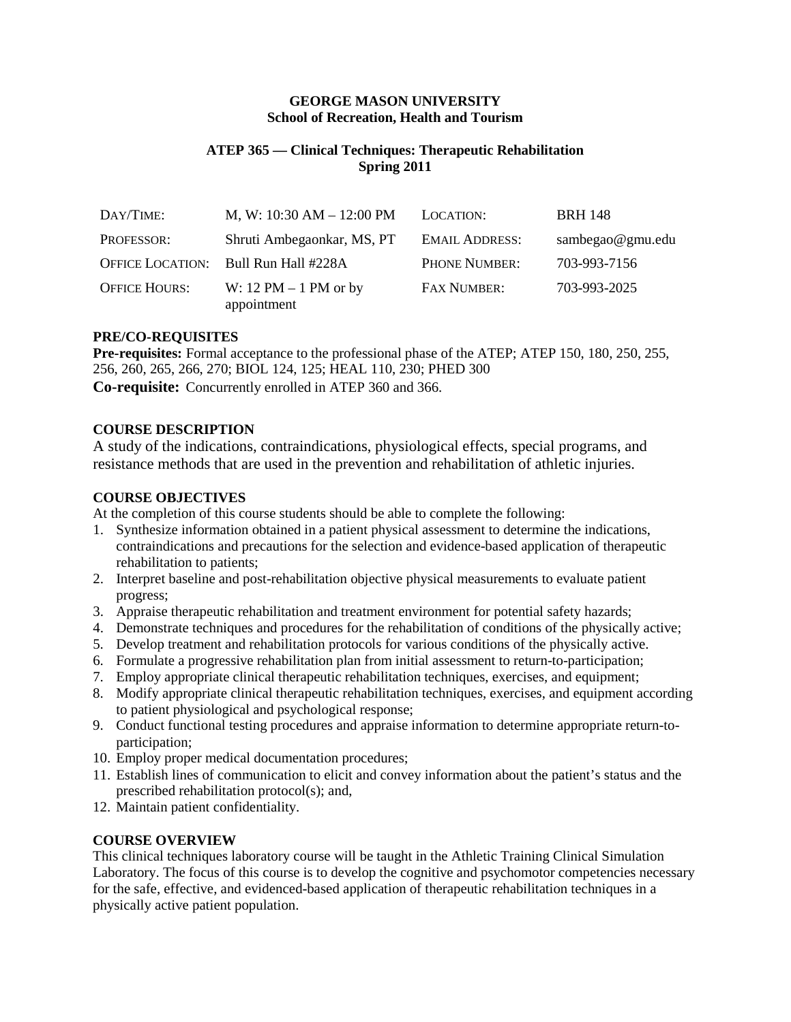#### **GEORGE MASON UNIVERSITY School of Recreation, Health and Tourism**

# **ATEP 365 — Clinical Techniques: Therapeutic Rehabilitation Spring 2011**

| DAY/TIME:               | M, W: $10:30$ AM $- 12:00$ PM          | LOCATION:             | <b>BRH 148</b>   |
|-------------------------|----------------------------------------|-----------------------|------------------|
| PROFESSOR:              | Shruti Ambegaonkar, MS, PT             | <b>EMAIL ADDRESS:</b> | sambegao@gmu.edu |
| <b>OFFICE LOCATION:</b> | Bull Run Hall #228A                    | PHONE NUMBER:         | 703-993-7156     |
| <b>OFFICE HOURS:</b>    | W: $12 PM - 1 PM$ or by<br>appointment | <b>FAX NUMBER:</b>    | 703-993-2025     |

### **PRE/CO-REQUISITES**

**Pre-requisites:** Formal acceptance to the professional phase of the ATEP; ATEP 150, 180, 250, 255, 256, 260, 265, 266, 270; BIOL 124, 125; HEAL 110, 230; PHED 300 **Co-requisite:** Concurrently enrolled in ATEP 360 and 366.

# **COURSE DESCRIPTION**

A study of the indications, contraindications, physiological effects, special programs, and resistance methods that are used in the prevention and rehabilitation of athletic injuries.

### **COURSE OBJECTIVES**

At the completion of this course students should be able to complete the following:

- 1. Synthesize information obtained in a patient physical assessment to determine the indications, contraindications and precautions for the selection and evidence-based application of therapeutic rehabilitation to patients;
- 2. Interpret baseline and post-rehabilitation objective physical measurements to evaluate patient progress;
- 3. Appraise therapeutic rehabilitation and treatment environment for potential safety hazards;
- 4. Demonstrate techniques and procedures for the rehabilitation of conditions of the physically active;
- 5. Develop treatment and rehabilitation protocols for various conditions of the physically active.
- 6. Formulate a progressive rehabilitation plan from initial assessment to return-to-participation;
- 7. Employ appropriate clinical therapeutic rehabilitation techniques, exercises, and equipment;
- 8. Modify appropriate clinical therapeutic rehabilitation techniques, exercises, and equipment according to patient physiological and psychological response;
- 9. Conduct functional testing procedures and appraise information to determine appropriate return-toparticipation;
- 10. Employ proper medical documentation procedures;
- 11. Establish lines of communication to elicit and convey information about the patient's status and the prescribed rehabilitation protocol(s); and,
- 12. Maintain patient confidentiality.

### **COURSE OVERVIEW**

This clinical techniques laboratory course will be taught in the Athletic Training Clinical Simulation Laboratory. The focus of this course is to develop the cognitive and psychomotor competencies necessary for the safe, effective, and evidenced-based application of therapeutic rehabilitation techniques in a physically active patient population.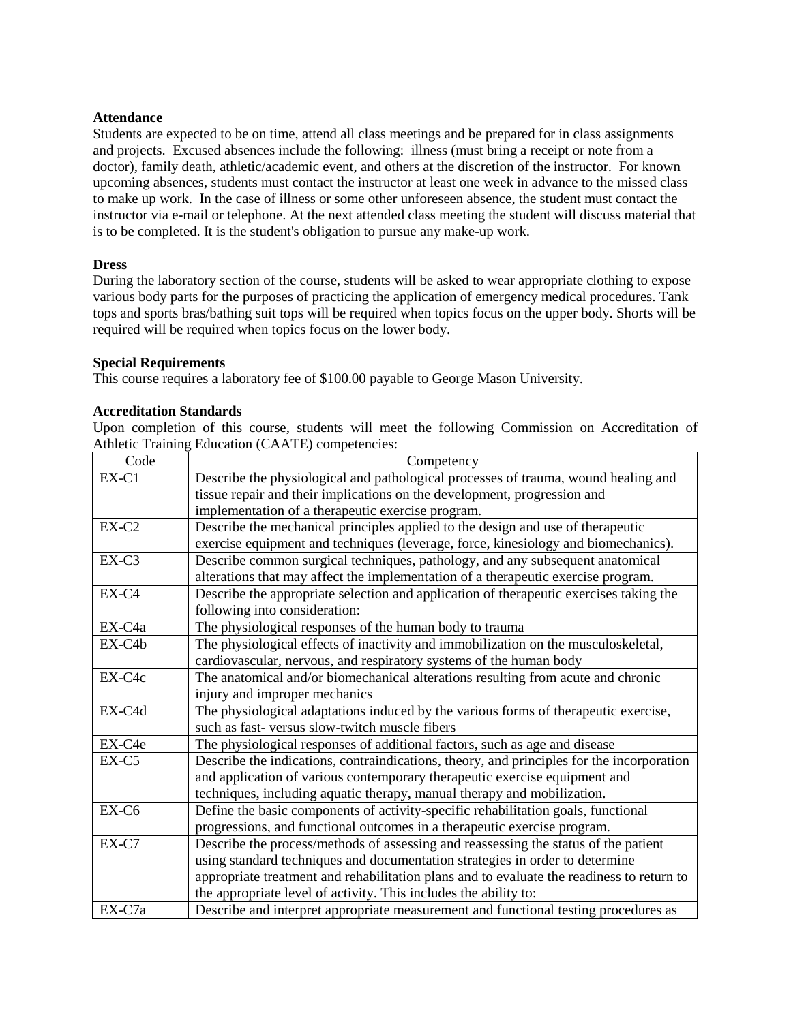#### **Attendance**

Students are expected to be on time, attend all class meetings and be prepared for in class assignments and projects. Excused absences include the following: illness (must bring a receipt or note from a doctor), family death, athletic/academic event, and others at the discretion of the instructor. For known upcoming absences, students must contact the instructor at least one week in advance to the missed class to make up work. In the case of illness or some other unforeseen absence, the student must contact the instructor via e-mail or telephone. At the next attended class meeting the student will discuss material that is to be completed. It is the student's obligation to pursue any make-up work.

### **Dress**

During the laboratory section of the course, students will be asked to wear appropriate clothing to expose various body parts for the purposes of practicing the application of emergency medical procedures. Tank tops and sports bras/bathing suit tops will be required when topics focus on the upper body. Shorts will be required will be required when topics focus on the lower body.

#### **Special Requirements**

This course requires a laboratory fee of \$100.00 payable to George Mason University.

### **Accreditation Standards**

Upon completion of this course, students will meet the following Commission on Accreditation of Athletic Training Education (CAATE) competencies:

| Code    | Competency                                                                                |
|---------|-------------------------------------------------------------------------------------------|
| EX-C1   | Describe the physiological and pathological processes of trauma, wound healing and        |
|         | tissue repair and their implications on the development, progression and                  |
|         | implementation of a therapeutic exercise program.                                         |
| $EX-C2$ | Describe the mechanical principles applied to the design and use of therapeutic           |
|         | exercise equipment and techniques (leverage, force, kinesiology and biomechanics).        |
| $EX-C3$ | Describe common surgical techniques, pathology, and any subsequent anatomical             |
|         | alterations that may affect the implementation of a therapeutic exercise program.         |
| $EX-C4$ | Describe the appropriate selection and application of therapeutic exercises taking the    |
|         | following into consideration:                                                             |
| EX-C4a  | The physiological responses of the human body to trauma                                   |
| EX-C4b  | The physiological effects of inactivity and immobilization on the musculoskeletal,        |
|         | cardiovascular, nervous, and respiratory systems of the human body                        |
| EX-C4c  | The anatomical and/or biomechanical alterations resulting from acute and chronic          |
|         | injury and improper mechanics                                                             |
| EX-C4d  | The physiological adaptations induced by the various forms of therapeutic exercise,       |
|         | such as fast-versus slow-twitch muscle fibers                                             |
| EX-C4e  | The physiological responses of additional factors, such as age and disease                |
| $EX-C5$ | Describe the indications, contraindications, theory, and principles for the incorporation |
|         | and application of various contemporary therapeutic exercise equipment and                |
|         | techniques, including aquatic therapy, manual therapy and mobilization.                   |
| EX-C6   | Define the basic components of activity-specific rehabilitation goals, functional         |
|         | progressions, and functional outcomes in a therapeutic exercise program.                  |
| EX-C7   | Describe the process/methods of assessing and reassessing the status of the patient       |
|         | using standard techniques and documentation strategies in order to determine              |
|         | appropriate treatment and rehabilitation plans and to evaluate the readiness to return to |
|         | the appropriate level of activity. This includes the ability to:                          |
| EX-C7a  | Describe and interpret appropriate measurement and functional testing procedures as       |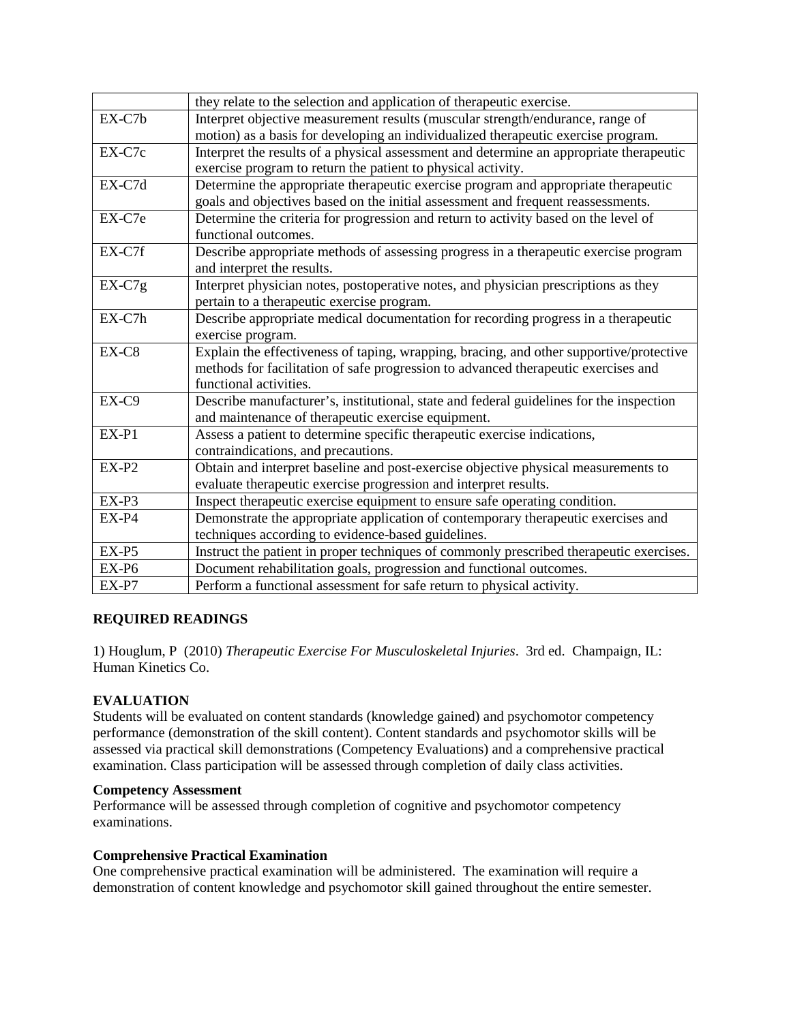|          | they relate to the selection and application of therapeutic exercise.                   |
|----------|-----------------------------------------------------------------------------------------|
| EX-C7b   | Interpret objective measurement results (muscular strength/endurance, range of          |
|          | motion) as a basis for developing an individualized therapeutic exercise program.       |
| EX-C7c   | Interpret the results of a physical assessment and determine an appropriate therapeutic |
|          | exercise program to return the patient to physical activity.                            |
| EX-C7d   | Determine the appropriate therapeutic exercise program and appropriate therapeutic      |
|          | goals and objectives based on the initial assessment and frequent reassessments.        |
| EX-C7e   | Determine the criteria for progression and return to activity based on the level of     |
|          | functional outcomes.                                                                    |
| EX-C7f   | Describe appropriate methods of assessing progress in a therapeutic exercise program    |
|          | and interpret the results.                                                              |
| $EX-C7g$ | Interpret physician notes, postoperative notes, and physician prescriptions as they     |
|          | pertain to a therapeutic exercise program.                                              |
| EX-C7h   | Describe appropriate medical documentation for recording progress in a therapeutic      |
|          | exercise program.                                                                       |
| EX-C8    | Explain the effectiveness of taping, wrapping, bracing, and other supportive/protective |
|          | methods for facilitation of safe progression to advanced therapeutic exercises and      |
|          | functional activities.                                                                  |
| EX-C9    | Describe manufacturer's, institutional, state and federal guidelines for the inspection |
|          | and maintenance of therapeutic exercise equipment.                                      |
| $EX-P1$  | Assess a patient to determine specific therapeutic exercise indications,                |
|          | contraindications, and precautions.                                                     |
| $EX-P2$  | Obtain and interpret baseline and post-exercise objective physical measurements to      |
|          | evaluate therapeutic exercise progression and interpret results.                        |
| $EX-P3$  | Inspect therapeutic exercise equipment to ensure safe operating condition.              |
| $EX-P4$  | Demonstrate the appropriate application of contemporary therapeutic exercises and       |
|          | techniques according to evidence-based guidelines.                                      |
| $EX-P5$  | Instruct the patient in proper techniques of commonly prescribed therapeutic exercises. |
| EX-P6    | Document rehabilitation goals, progression and functional outcomes.                     |
| $EX-P7$  | Perform a functional assessment for safe return to physical activity.                   |

# **REQUIRED READINGS**

1) Houglum, P (2010) *Therapeutic Exercise For Musculoskeletal Injuries*. 3rd ed. Champaign, IL: Human Kinetics Co.

# **EVALUATION**

Students will be evaluated on content standards (knowledge gained) and psychomotor competency performance (demonstration of the skill content). Content standards and psychomotor skills will be assessed via practical skill demonstrations (Competency Evaluations) and a comprehensive practical examination. Class participation will be assessed through completion of daily class activities.

### **Competency Assessment**

Performance will be assessed through completion of cognitive and psychomotor competency examinations.

### **Comprehensive Practical Examination**

One comprehensive practical examination will be administered. The examination will require a demonstration of content knowledge and psychomotor skill gained throughout the entire semester.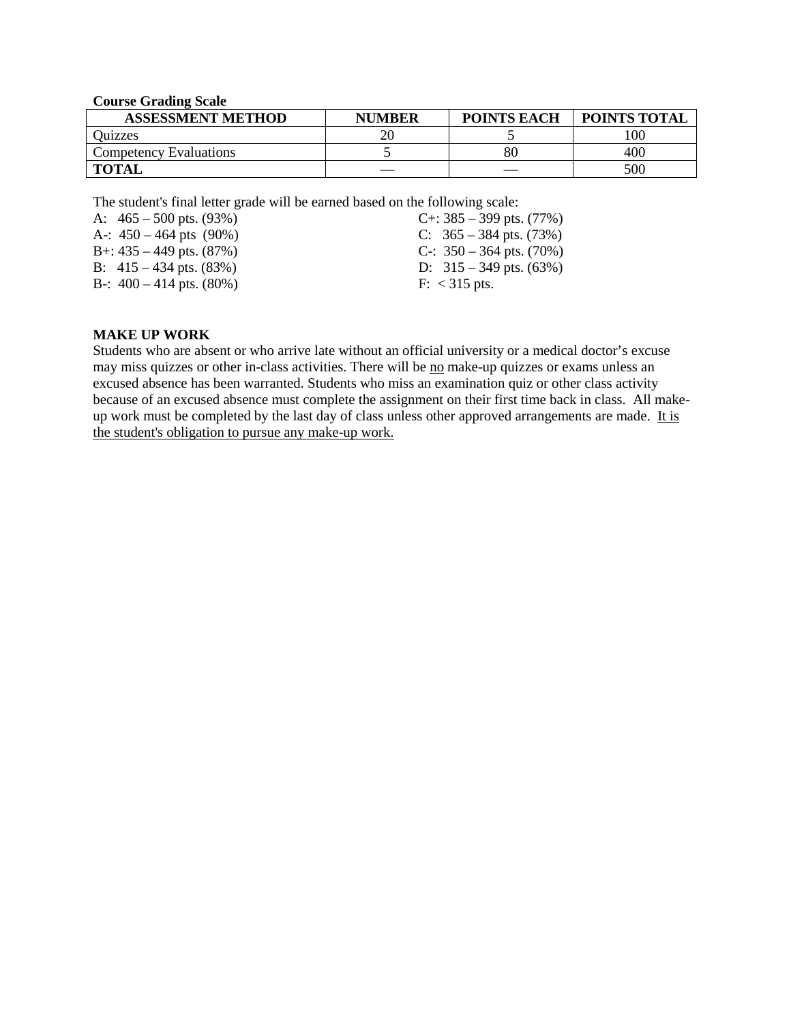| Course Graamg searc           |               |                    |                     |
|-------------------------------|---------------|--------------------|---------------------|
| <b>ASSESSMENT METHOD</b>      | <b>NUMBER</b> | <b>POINTS EACH</b> | <b>POINTS TOTAL</b> |
| <b>Ouizzes</b>                |               |                    | 00                  |
| <b>Competency Evaluations</b> |               | 80                 | 400                 |
| <b>TOTAL</b>                  |               |                    | 500                 |

**Course Grading Scale**

The student's final letter grade will be earned based on the following scale:

| A: $465 - 500$ pts. $(93\%)$  | C+: $385 - 399$ pts. $(77%)$  |
|-------------------------------|-------------------------------|
| A-: $450 - 464$ pts (90%)     | C: $365 - 384$ pts. (73%)     |
| B+: $435 - 449$ pts. $(87%)$  | C-: $350 - 364$ pts. $(70\%)$ |
| B: $415 - 434$ pts. $(83\%)$  | D: $315 - 349$ pts. (63%)     |
| B-: $400 - 414$ pts. $(80\%)$ | $F: < 315$ pts.               |
|                               |                               |

### **MAKE UP WORK**

Students who are absent or who arrive late without an official university or a medical doctor's excuse may miss quizzes or other in-class activities. There will be no make-up quizzes or exams unless an excused absence has been warranted. Students who miss an examination quiz or other class activity because of an excused absence must complete the assignment on their first time back in class. All makeup work must be completed by the last day of class unless other approved arrangements are made. It is the student's obligation to pursue any make-up work.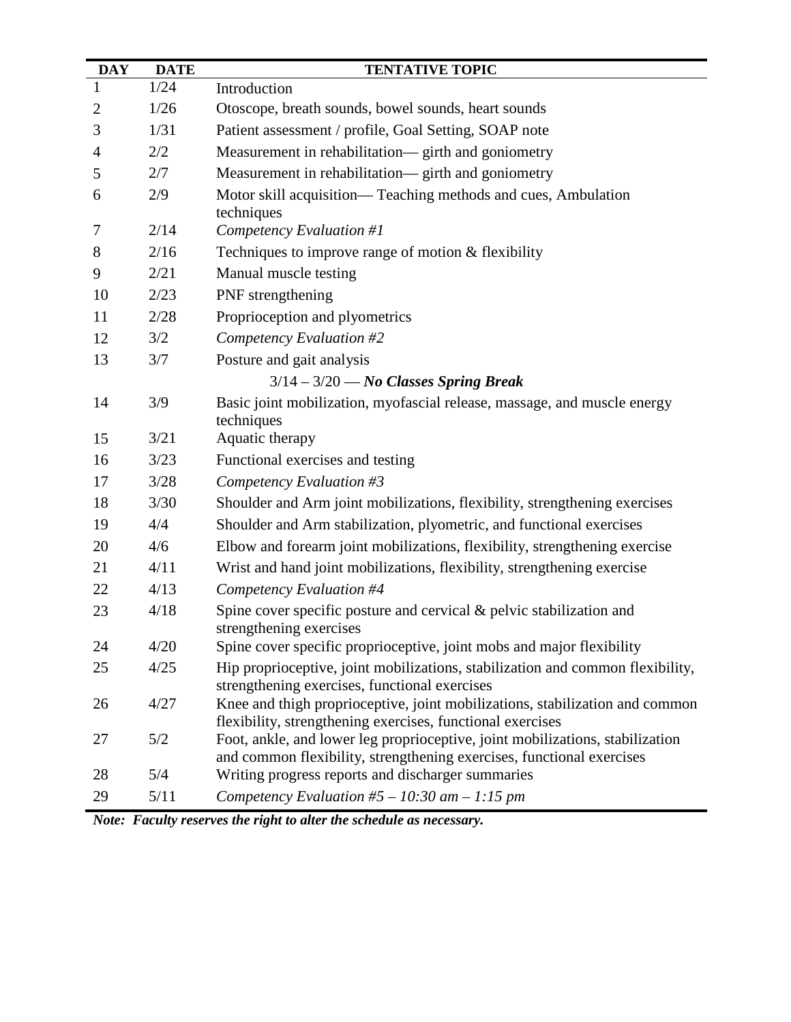| <b>DAY</b>     | <b>DATE</b> | <b>TENTATIVE TOPIC</b>                                                                                                                                 |
|----------------|-------------|--------------------------------------------------------------------------------------------------------------------------------------------------------|
| 1              | 1/24        | Introduction                                                                                                                                           |
| $\overline{2}$ | 1/26        | Otoscope, breath sounds, bowel sounds, heart sounds                                                                                                    |
| 3              | 1/31        | Patient assessment / profile, Goal Setting, SOAP note                                                                                                  |
| 4              | 2/2         | Measurement in rehabilitation— girth and goniometry                                                                                                    |
| 5              | 2/7         | Measurement in rehabilitation— girth and goniometry                                                                                                    |
| 6              | 2/9         | Motor skill acquisition— Teaching methods and cues, Ambulation<br>techniques                                                                           |
| 7              | 2/14        | Competency Evaluation #1                                                                                                                               |
| 8              | 2/16        | Techniques to improve range of motion $&$ flexibility                                                                                                  |
| 9              | 2/21        | Manual muscle testing                                                                                                                                  |
| 10             | 2/23        | PNF strengthening                                                                                                                                      |
| 11             | 2/28        | Proprioception and plyometrics                                                                                                                         |
| 12             | 3/2         | Competency Evaluation #2                                                                                                                               |
| 13             | 3/7         | Posture and gait analysis                                                                                                                              |
|                |             | $3/14 - 3/20$ - No Classes Spring Break                                                                                                                |
| 14             | 3/9         | Basic joint mobilization, myofascial release, massage, and muscle energy<br>techniques                                                                 |
| 15             | 3/21        | Aquatic therapy                                                                                                                                        |
| 16             | 3/23        | Functional exercises and testing                                                                                                                       |
| 17             | 3/28        | Competency Evaluation #3                                                                                                                               |
| 18             | 3/30        | Shoulder and Arm joint mobilizations, flexibility, strengthening exercises                                                                             |
| 19             | 4/4         | Shoulder and Arm stabilization, plyometric, and functional exercises                                                                                   |
| 20             | 4/6         | Elbow and forearm joint mobilizations, flexibility, strengthening exercise                                                                             |
| 21             | 4/11        | Wrist and hand joint mobilizations, flexibility, strengthening exercise                                                                                |
| 22             | 4/13        | Competency Evaluation #4                                                                                                                               |
| 23             | 4/18        | Spine cover specific posture and cervical & pelvic stabilization and<br>strengthening exercises                                                        |
| 24             | 4/20        | Spine cover specific proprioceptive, joint mobs and major flexibility                                                                                  |
| 25             | 4/25        | Hip proprioceptive, joint mobilizations, stabilization and common flexibility,<br>strengthening exercises, functional exercises                        |
| 26             | 4/27        | Knee and thigh proprioceptive, joint mobilizations, stabilization and common<br>flexibility, strengthening exercises, functional exercises             |
| 27             | 5/2         | Foot, ankle, and lower leg proprioceptive, joint mobilizations, stabilization<br>and common flexibility, strengthening exercises, functional exercises |
| 28             | 5/4         | Writing progress reports and discharger summaries                                                                                                      |
| 29             | 5/11        | Competency Evaluation #5 – 10:30 am – 1:15 pm                                                                                                          |

*Note: Faculty reserves the right to alter the schedule as necessary.*